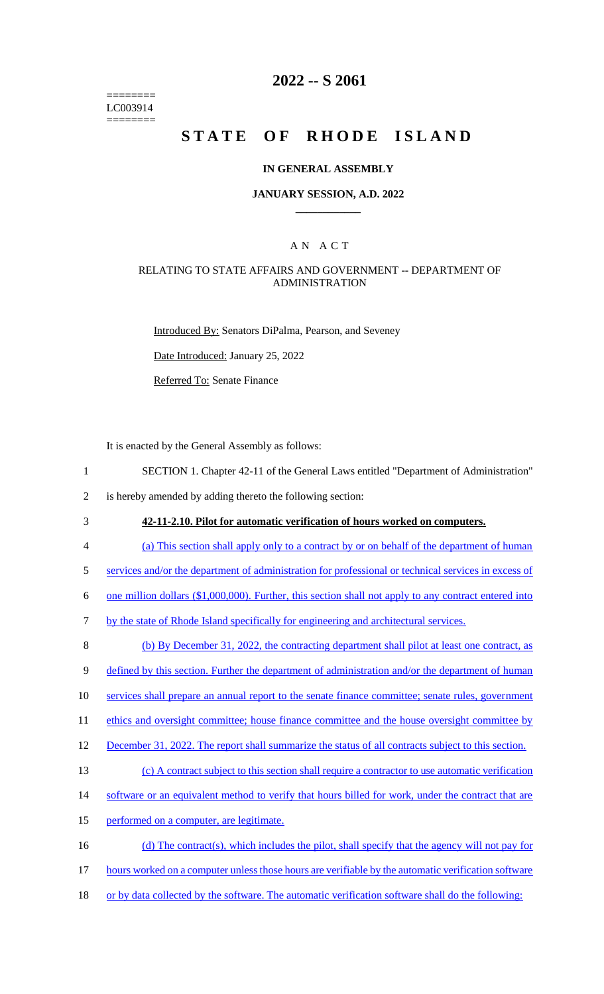======== LC003914 ========

# **2022 -- S 2061**

# **STATE OF RHODE ISLAND**

### **IN GENERAL ASSEMBLY**

### **JANUARY SESSION, A.D. 2022 \_\_\_\_\_\_\_\_\_\_\_\_**

# A N A C T

## RELATING TO STATE AFFAIRS AND GOVERNMENT -- DEPARTMENT OF ADMINISTRATION

Introduced By: Senators DiPalma, Pearson, and Seveney

Date Introduced: January 25, 2022

Referred To: Senate Finance

It is enacted by the General Assembly as follows:

1 SECTION 1. Chapter 42-11 of the General Laws entitled "Department of Administration"

2 is hereby amended by adding thereto the following section:

3 **42-11-2.10. Pilot for automatic verification of hours worked on computers.** 

4 (a) This section shall apply only to a contract by or on behalf of the department of human

5 services and/or the department of administration for professional or technical services in excess of

6 one million dollars (\$1,000,000). Further, this section shall not apply to any contract entered into

7 by the state of Rhode Island specifically for engineering and architectural services.

8 (b) By December 31, 2022, the contracting department shall pilot at least one contract, as

9 defined by this section. Further the department of administration and/or the department of human

10 services shall prepare an annual report to the senate finance committee; senate rules, government

11 ethics and oversight committee; house finance committee and the house oversight committee by

12 December 31, 2022. The report shall summarize the status of all contracts subject to this section.

13 (c) A contract subject to this section shall require a contractor to use automatic verification

- 14 software or an equivalent method to verify that hours billed for work, under the contract that are
- 15 performed on a computer, are legitimate.
- 16 (d) The contract(s), which includes the pilot, shall specify that the agency will not pay for
- 17 hours worked on a computer unless those hours are verifiable by the automatic verification software
- 18 or by data collected by the software. The automatic verification software shall do the following: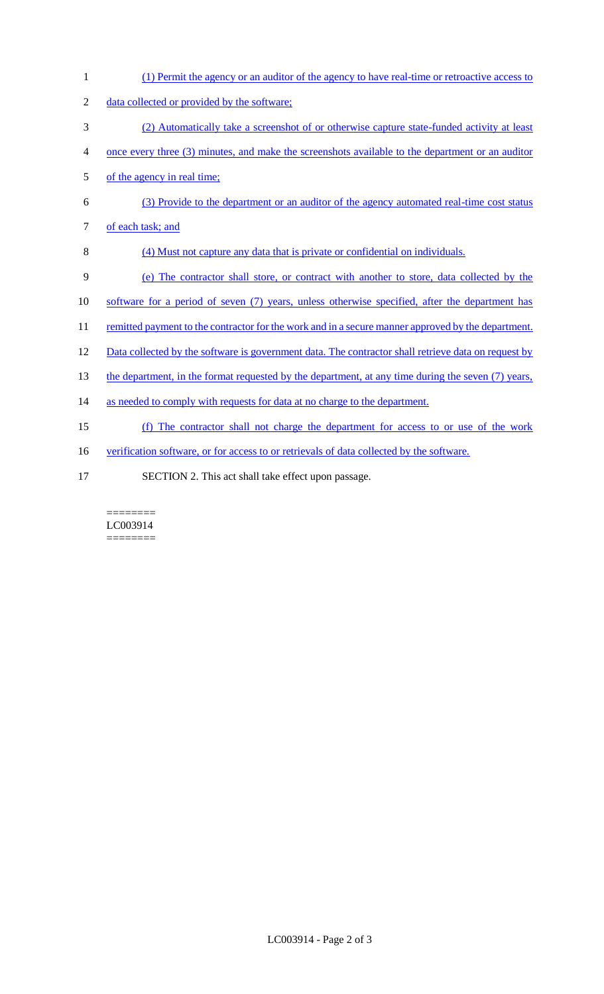1 (1) Permit the agency or an auditor of the agency to have real-time or retroactive access to 2 data collected or provided by the software; 3 (2) Automatically take a screenshot of or otherwise capture state-funded activity at least 4 once every three (3) minutes, and make the screenshots available to the department or an auditor 5 of the agency in real time; 6 (3) Provide to the department or an auditor of the agency automated real-time cost status 7 of each task; and 8 (4) Must not capture any data that is private or confidential on individuals. 9 (e) The contractor shall store, or contract with another to store, data collected by the 10 software for a period of seven (7) years, unless otherwise specified, after the department has 11 remitted payment to the contractor for the work and in a secure manner approved by the department. 12 Data collected by the software is government data. The contractor shall retrieve data on request by 13 the department, in the format requested by the department, at any time during the seven (7) years, 14 as needed to comply with requests for data at no charge to the department. 15 (f) The contractor shall not charge the department for access to or use of the work 16 verification software, or for access to or retrievals of data collected by the software. 17 SECTION 2. This act shall take effect upon passage.

#### ======== LC003914 ========